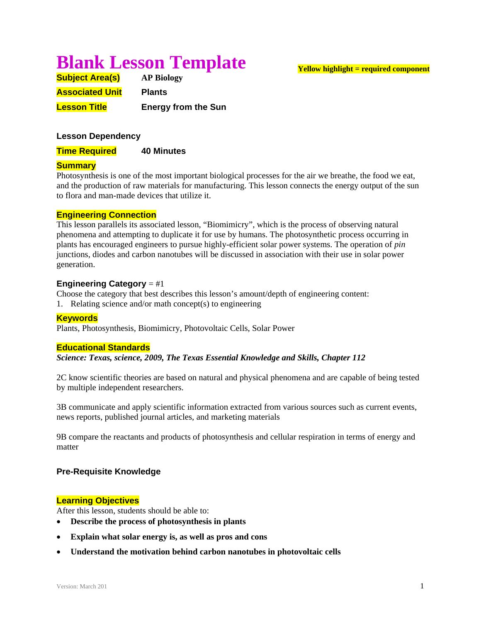# **Blank Lesson Template**

| <b>Subject Area(s)</b> | <b>AP Biology</b>          |
|------------------------|----------------------------|
| <b>Associated Unit</b> | <b>Plants</b>              |
| <b>Lesson Title</b>    | <b>Energy from the Sun</b> |

# **Lesson Dependency**

**Time Required 40 Minutes** 

# **Summary**

Photosynthesis is one of the most important biological processes for the air we breathe, the food we eat, and the production of raw materials for manufacturing. This lesson connects the energy output of the sun to flora and man-made devices that utilize it.

#### **Engineering Connection**

This lesson parallels its associated lesson, "Biomimicry", which is the process of observing natural phenomena and attempting to duplicate it for use by humans. The photosynthetic process occurring in plants has encouraged engineers to pursue highly-efficient solar power systems. The operation of *pin* junctions, diodes and carbon nanotubes will be discussed in association with their use in solar power generation.

#### **Engineering Category** = #1

Choose the category that best describes this lesson's amount/depth of engineering content:

1. Relating science and/or math concept(s) to engineering

# **Keywords**

Plants, Photosynthesis, Biomimicry, Photovoltaic Cells, Solar Power

#### **Educational Standards**

*Science: Texas, science, 2009, The Texas Essential Knowledge and Skills, Chapter 112* 

2C know scientific theories are based on natural and physical phenomena and are capable of being tested by multiple independent researchers.

3B communicate and apply scientific information extracted from various sources such as current events, news reports, published journal articles, and marketing materials

9B compare the reactants and products of photosynthesis and cellular respiration in terms of energy and matter

#### **Pre-Requisite Knowledge**

#### **Learning Objectives**

After this lesson, students should be able to:

- **Describe the process of photosynthesis in plants**
- **Explain what solar energy is, as well as pros and cons**
- **Understand the motivation behind carbon nanotubes in photovoltaic cells**

#### **Yellow highlight = required component**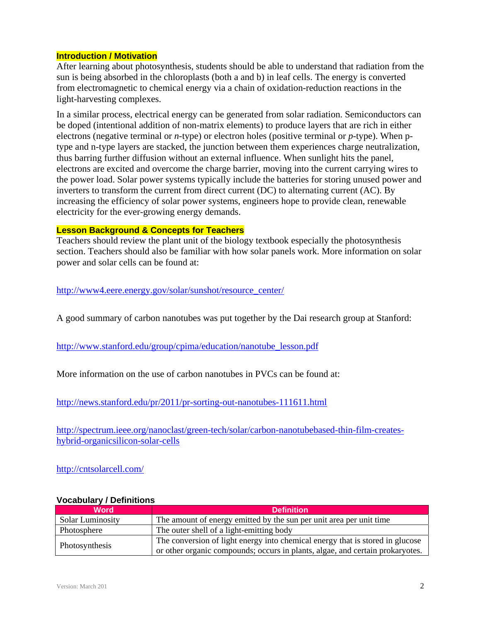#### **Introduction / Motivation**

After learning about photosynthesis, students should be able to understand that radiation from the sun is being absorbed in the chloroplasts (both a and b) in leaf cells. The energy is converted from electromagnetic to chemical energy via a chain of oxidation-reduction reactions in the light-harvesting complexes.

In a similar process, electrical energy can be generated from solar radiation. Semiconductors can be doped (intentional addition of non-matrix elements) to produce layers that are rich in either electrons (negative terminal or *n*-type) or electron holes (positive terminal or *p*-type). When ptype and n-type layers are stacked, the junction between them experiences charge neutralization, thus barring further diffusion without an external influence. When sunlight hits the panel, electrons are excited and overcome the charge barrier, moving into the current carrying wires to the power load. Solar power systems typically include the batteries for storing unused power and inverters to transform the current from direct current (DC) to alternating current (AC). By increasing the efficiency of solar power systems, engineers hope to provide clean, renewable electricity for the ever-growing energy demands.

# **Lesson Background & Concepts for Teachers**

Teachers should review the plant unit of the biology textbook especially the photosynthesis section. Teachers should also be familiar with how solar panels work. More information on solar power and solar cells can be found at:

# http://www4.eere.energy.gov/solar/sunshot/resource\_center/

A good summary of carbon nanotubes was put together by the Dai research group at Stanford:

http://www.stanford.edu/group/cpima/education/nanotube\_lesson.pdf

More information on the use of carbon nanotubes in PVCs can be found at:

http://news.stanford.edu/pr/2011/pr-sorting-out-nanotubes-111611.html

http://spectrum.ieee.org/nanoclast/green-tech/solar/carbon-nanotubebased-thin-film-createshybrid-organicsilicon-solar-cells

http://cntsolarcell.com/

| <b>Word</b>             | <b>Definition</b>                                                             |
|-------------------------|-------------------------------------------------------------------------------|
| <b>Solar Luminosity</b> | The amount of energy emitted by the sun per unit area per unit time           |
| Photosphere             | The outer shell of a light-emitting body                                      |
| Photosynthesis          | The conversion of light energy into chemical energy that is stored in glucose |
|                         | or other organic compounds; occurs in plants, algae, and certain prokaryotes. |

# **Vocabulary / Definitions**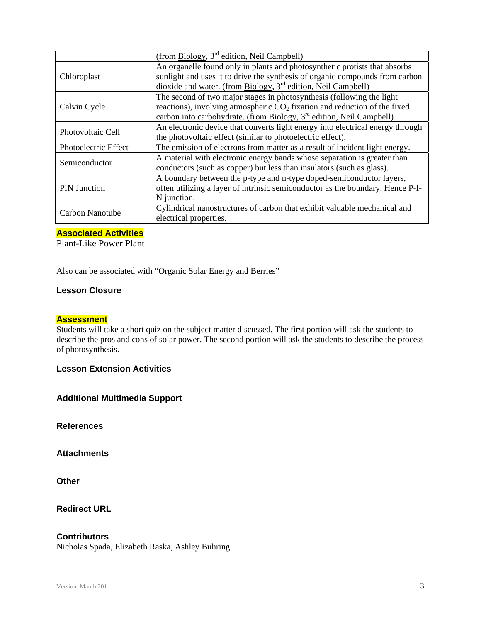|                      | (from Biology, 3 <sup>rd</sup> edition, Neil Campbell)                           |
|----------------------|----------------------------------------------------------------------------------|
| Chloroplast          | An organelle found only in plants and photosynthetic protists that absorbs       |
|                      | sunlight and uses it to drive the synthesis of organic compounds from carbon     |
|                      | dioxide and water. (from $\overline{Biology}$ , $3^{rd}$ edition, Neil Campbell) |
| Calvin Cycle         | The second of two major stages in photosynthesis (following the light            |
|                      | reactions), involving atmospheric $CO2$ fixation and reduction of the fixed      |
|                      | carbon into carbohydrate. (from Biology, 3 <sup>rd</sup> edition, Neil Campbell) |
| Photovoltaic Cell    | An electronic device that converts light energy into electrical energy through   |
|                      | the photovoltaic effect (similar to photoelectric effect).                       |
| Photoelectric Effect | The emission of electrons from matter as a result of incident light energy.      |
| Semiconductor        | A material with electronic energy bands whose separation is greater than         |
|                      | conductors (such as copper) but less than insulators (such as glass).            |
| <b>PIN Junction</b>  | A boundary between the p-type and n-type doped-semiconductor layers,             |
|                      | often utilizing a layer of intrinsic semiconductor as the boundary. Hence P-I-   |
|                      | N junction.                                                                      |
| Carbon Nanotube      | Cylindrical nanostructures of carbon that exhibit valuable mechanical and        |
|                      | electrical properties.                                                           |

# **Associated Activities**

Plant-Like Power Plant

Also can be associated with "Organic Solar Energy and Berries"

# **Lesson Closure**

#### **Assessment**

Students will take a short quiz on the subject matter discussed. The first portion will ask the students to describe the pros and cons of solar power. The second portion will ask the students to describe the process of photosynthesis.

**Lesson Extension Activities**

**Additional Multimedia Support** 

**References** 

**Attachments** 

**Other** 

**Redirect URL** 

# **Contributors**

Nicholas Spada, Elizabeth Raska, Ashley Buhring